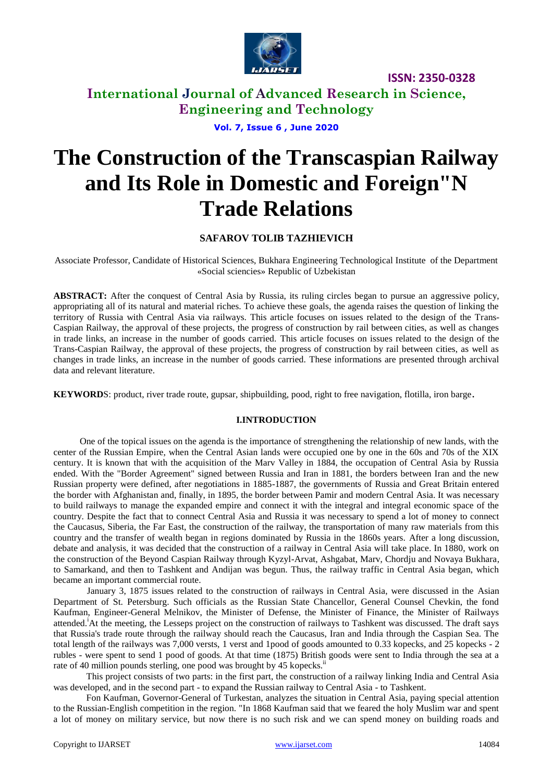

**ISSN: 2350-0328**

**International Journal of Advanced Research in Science, Engineering and Technology**

**Vol. 7, Issue 6 , June 2020**

# **The Construction of the Transcaspian Railway and Its Role in Domestic and Foreign"N Trade Relations**

## **SAFAROV TOLIB TAZHIEVICH**

Associate Professor, Candidate of Historical Sciences, Bukhara Engineering Technological Institute of the Department «Social sciencies» Republic of Uzbekistan

**ABSTRACT:** After the conquest of Central Asia by Russia, its ruling circles began to pursue an aggressive policy, appropriating all of its natural and material riches. To achieve these goals, the agenda raises the question of linking the territory of Russia with Central Asia via railways. This article focuses on issues related to the design of the Trans-Caspian Railway, the approval of these projects, the progress of construction by rail between cities, as well as changes in trade links, an increase in the number of goods carried. This article focuses on issues related to the design of the Trans-Caspian Railway, the approval of these projects, the progress of construction by rail between cities, as well as changes in trade links, an increase in the number of goods carried. These informations are presented through archival data and relevant literature.

**KEYWORD**S: product, river trade route, gupsar, shipbuilding, pood, right to free navigation, flotilla, iron barge*.*

#### **I.INTRODUCTION**

One of the topical issues on the agenda is the importance of strengthening the relationship of new lands, with the center of the Russian Empire, when the Central Asian lands were occupied one by one in the 60s and 70s of the XIX century. It is known that with the acquisition of the Marv Valley in 1884, the occupation of Central Asia by Russia ended. With the "Border Agreement" signed between Russia and Iran in 1881, the borders between Iran and the new Russian property were defined, after negotiations in 1885-1887, the governments of Russia and Great Britain entered the border with Afghanistan and, finally, in 1895, the border between Pamir and modern Central Asia. It was necessary to build railways to manage the expanded empire and connect it with the integral and integral economic space of the country. Despite the fact that to connect Central Asia and Russia it was necessary to spend a lot of money to connect the Caucasus, Siberia, the Far East, the construction of the railway, the transportation of many raw materials from this country and the transfer of wealth began in regions dominated by Russia in the 1860s years. After a long discussion, debate and analysis, it was decided that the construction of a railway in Central Asia will take place. In 1880, work on the construction of the Beyond Caspian Railway through Kyzyl-Arvat, Ashgabat, Marv, Chordju and Novaya Bukhara, to Samarkand, and then to Tashkent and Andijan was begun. Thus, the railway traffic in Central Asia began, which became an important commercial route.

January 3, 1875 issues related to the construction of railways in Central Asia, were discussed in the Asian Department of St. Petersburg. Such officials as the Russian State Chancellor, General Counsel Chevkin, the fond Kaufman, Engineer-General Melnikov, the Minister of Defense, the Minister of Finance, the Minister of Railways attended.<sup>i</sup>At the meeting, the Lesseps project on the construction of railways to Tashkent was discussed. The draft says that Russia's trade route through the railway should reach the Caucasus, Iran and India through the Caspian Sea. The total length of the railways was 7,000 versts, 1 verst and 1pood of goods amounted to 0.33 kopecks, and 25 kopecks - 2 rubles - were spent to send 1 pood of goods. At that time (1875) British goods were sent to India through the sea at a rate of 40 million pounds sterling, one pood was brought by 45 kopecks.<sup>ii</sup>

This project consists of two parts: in the first part, the construction of a railway linking India and Central Asia was developed, and in the second part - to expand the Russian railway to Central Asia - to Tashkent.

Fon Kaufman, Governor-General of Turkestan, analyzes the situation in Central Asia, paying special attention to the Russian-English competition in the region. "In 1868 Kaufman said that we feared the holy Muslim war and spent a lot of money on military service, but now there is no such risk and we can spend money on building roads and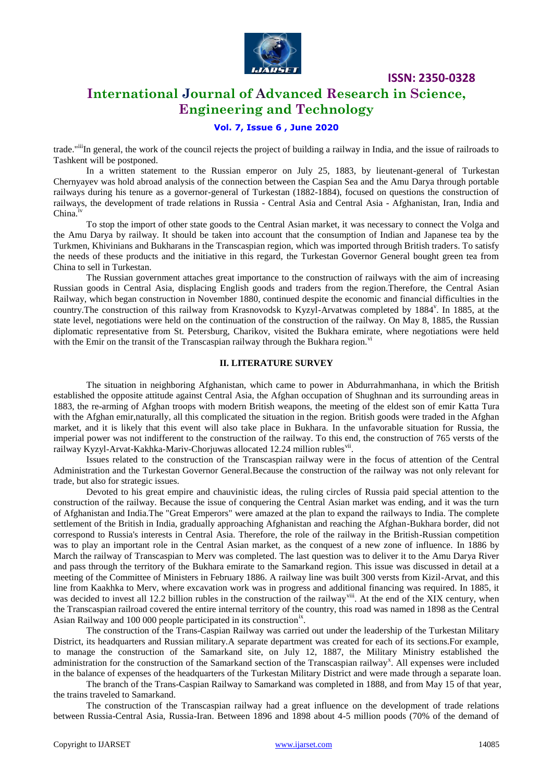

**ISSN: 2350-0328**

# **International Journal of Advanced Research in Science, Engineering and Technology**

## **Vol. 7, Issue 6 , June 2020**

trade."iiiIn general, the work of the council rejects the project of building a railway in India, and the issue of railroads to Tashkent will be postponed.

In a written statement to the Russian emperor on July 25, 1883, by lieutenant-general of Turkestan Chernyayev was hold abroad analysis of the connection between the Caspian Sea and the Amu Darya through portable railways during his tenure as a governor-general of Turkestan (1882-1884), focused on questions the construction of railways, the development of trade relations in Russia - Central Asia and Central Asia - Afghanistan, Iran, India and China.<sup>iv</sup>

To stop the import of other state goods to the Central Asian market, it was necessary to connect the Volga and the Amu Darya by railway. It should be taken into account that the consumption of Indian and Japanese tea by the Turkmen, Khivinians and Bukharans in the Transcaspian region, which was imported through British traders. To satisfy the needs of these products and the initiative in this regard, the Turkestan Governor General bought green tea from China to sell in Turkestan.

The Russian government attaches great importance to the construction of railways with the aim of increasing Russian goods in Central Asia, displacing English goods and traders from the region.Therefore, the Central Asian Railway, which began construction in November 1880, continued despite the economic and financial difficulties in the country. The construction of this railway from Krasnovodsk to Kyzyl-Arvatwas completed by 1884<sup>v</sup>. In 1885, at the state level, negotiations were held on the continuation of the construction of the railway. On May 8, 1885, the Russian diplomatic representative from St. Petersburg, Charikov, visited the Bukhara emirate, where negotiations were held with the Emir on the transit of the Transcaspian railway through the Bukhara region. $\overline{v}$ 

#### **II. LITERATURE SURVEY**

The situation in neighboring Afghanistan, which came to power in Abdurrahmanhana, in which the British established the opposite attitude against Central Asia, the Afghan occupation of Shughnan and its surrounding areas in 1883, the re-arming of Afghan troops with modern British weapons, the meeting of the eldest son of emir Katta Tura with the Afghan emir,naturally, all this complicated the situation in the region. British goods were traded in the Afghan market, and it is likely that this event will also take place in Bukhara. In the unfavorable situation for Russia, the imperial power was not indifferent to the construction of the railway. To this end, the construction of 765 versts of the railway Kyzyl-Arvat-Kakhka-Mariv-Chorjuwas allocated 12.24 million rubles<sup>vii</sup>.

Issues related to the construction of the Transcaspian railway were in the focus of attention of the Central Administration and the Turkestan Governor General.Because the construction of the railway was not only relevant for trade, but also for strategic issues.

Devoted to his great empire and chauvinistic ideas, the ruling circles of Russia paid special attention to the construction of the railway. Because the issue of conquering the Central Asian market was ending, and it was the turn of Afghanistan and India.The "Great Emperors" were amazed at the plan to expand the railways to India. The complete settlement of the British in India, gradually approaching Afghanistan and reaching the Afghan-Bukhara border, did not correspond to Russia's interests in Central Asia. Therefore, the role of the railway in the British-Russian competition was to play an important role in the Central Asian market, as the conquest of a new zone of influence. In 1886 by March the railway of Transcaspian to Mеrv was completed. The last question was to deliver it to the Amu Darya River and pass through the territory of the Bukhara emirate to the Samarkand region. This issue was discussed in detail at a meeting of the Committee of Ministers in February 1886. A railway line was built 300 versts from Kizil-Arvat, and this line from Kaakhka to Merv, where excavation work was in progress and additional financing was required. In 1885, it was decided to invest all 12.2 billion rubles in the construction of the railway<sup>viii</sup>. At the end of the XIX century, when the Transcaspian railroad covered the entire internal territory of the country, this road was named in 1898 as the Central Asian Railway and 100 000 people participated in its construction<sup>ix</sup>.

The construction of the Trans-Caspian Railway was carried out under the leadership of the Turkestan Military District, its headquarters and Russian military.A separate department was created for each of its sections.For example, to manage the construction of the Samarkand site, on July 12, 1887, the Military Ministry established the administration for the construction of the Samarkand section of the Transcaspian railway<sup>x</sup>. All expenses were included in the balance of expenses of the headquarters of the Turkestan Military District and were made through a separate loan.

The branch of the Trans-Caspian Railway to Samarkand was completed in 1888, and from May 15 of that year, the trains traveled to Samarkand.

The construction of the Transcaspian railway had a great influence on the development of trade relations between Russia-Central Asia, Russia-Iran. Between 1896 and 1898 about 4-5 million poods (70% of the demand of